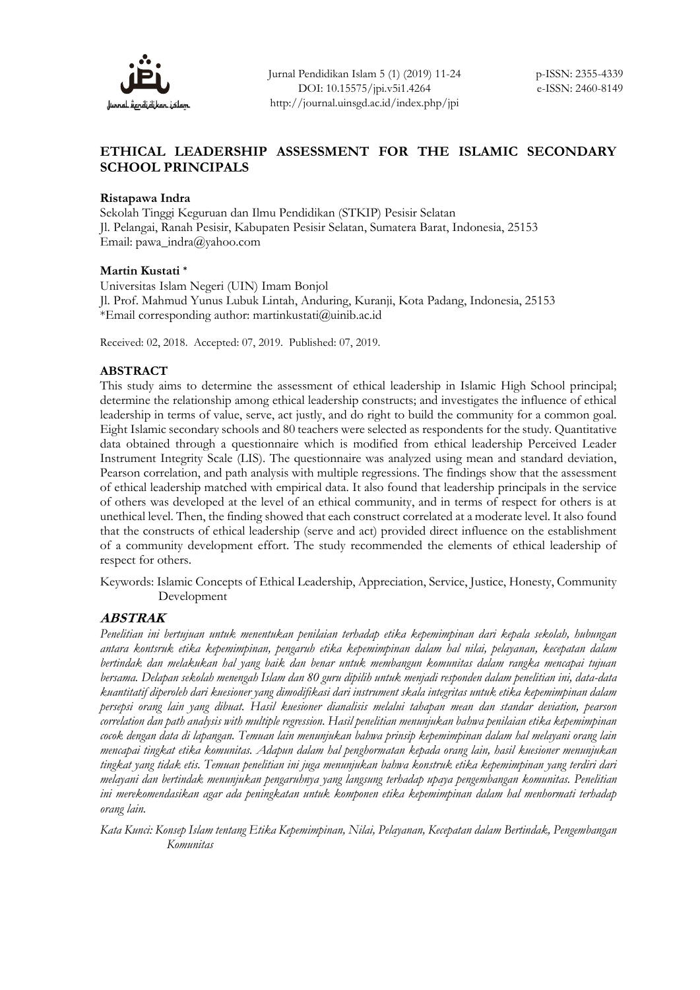

# **ETHICAL LEADERSHIP ASSESSMENT FOR THE ISLAMIC SECONDARY SCHOOL PRINCIPALS**

## **Ristapawa Indra**

Sekolah Tinggi Keguruan dan Ilmu Pendidikan (STKIP) Pesisir Selatan Jl. Pelangai, Ranah Pesisir, Kabupaten Pesisir Selatan, Sumatera Barat, Indonesia, 25153 Email: pawa\_indra@yahoo.com

#### **Martin Kustati \***

Universitas Islam Negeri (UIN) Imam Bonjol Jl. Prof. Mahmud Yunus Lubuk Lintah, Anduring, Kuranji, Kota Padang, Indonesia, 25153 \*Email corresponding author: martinkustati@uinib.ac.id

Received: 02, 2018. Accepted: 07, 2019. Published: 07, 2019.

## **ABSTRACT**

This study aims to determine the assessment of ethical leadership in Islamic High School principal; determine the relationship among ethical leadership constructs; and investigates the influence of ethical leadership in terms of value, serve, act justly, and do right to build the community for a common goal. Eight Islamic secondary schools and 80 teachers were selected as respondents for the study. Quantitative data obtained through a questionnaire which is modified from ethical leadership Perceived Leader Instrument Integrity Scale (LIS). The questionnaire was analyzed using mean and standard deviation, Pearson correlation, and path analysis with multiple regressions. The findings show that the assessment of ethical leadership matched with empirical data. It also found that leadership principals in the service of others was developed at the level of an ethical community, and in terms of respect for others is at unethical level. Then, the finding showed that each construct correlated at a moderate level. It also found that the constructs of ethical leadership (serve and act) provided direct influence on the establishment of a community development effort. The study recommended the elements of ethical leadership of respect for others.

Keywords: Islamic Concepts of Ethical Leadership, Appreciation, Service, Justice, Honesty, Community Development

## **ABSTRAK**

*Penelitian ini bertujuan untuk menentukan penilaian terhadap etika kepemimpinan dari kepala sekolah, hubungan antara kontsruk etika kepemimpinan, pengaruh etika kepemimpinan dalam hal nilai, pelayanan, kecepatan dalam bertindak dan melakukan hal yang baik dan benar untuk membangun komunitas dalam rangka mencapai tujuan bersama. Delapan sekolah menengah Islam dan 80 guru dipilih untuk menjadi responden dalam penelitian ini, data-data kuantitatif diperoleh dari kuesioner yang dimodifikasi dari instrument skala integritas untuk etika kepemimpinan dalam persepsi orang lain yang dibuat. Hasil kuesioner dianalisis melalui tahapan mean dan standar deviation, pearson correlation dan path analysis with multiple regression. Hasil penelitian menunjukan bahwa penilaian etika kepemimpinan cocok dengan data di lapangan. Temuan lain menunjukan bahwa prinsip kepemimpinan dalam hal melayani orang lain mencapai tingkat etika komunitas. Adapun dalam hal penghormatan kepada orang lain, hasil kuesioner menunjukan tingkat yang tidak etis. Temuan penelitian ini juga menunjukan bahwa konstruk etika kepemimpinan yang terdiri dari melayani dan bertindak menunjukan pengaruhnya yang langsung terhadap upaya pengembangan komunitas. Penelitian ini merekomendasikan agar ada peningkatan untuk komponen etika kepemimpinan dalam hal menhormati terhadap orang lain.*

*Kata Kunci: Konsep Islam tentang Etika Kepemimpinan, Nilai, Pelayanan, Kecepatan dalam Bertindak, Pengembangan Komunitas*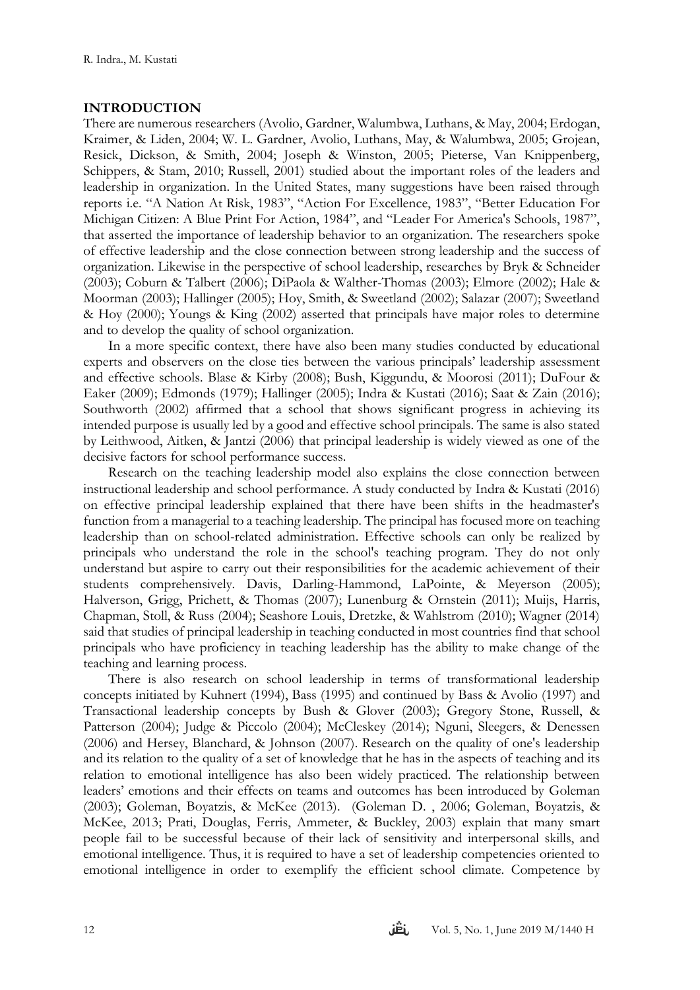## **INTRODUCTION**

There are numerous researchers (Avolio, Gardner, Walumbwa, Luthans, & May, 2004; Erdogan, Kraimer, & Liden, 2004; W. L. Gardner, Avolio, Luthans, May, & Walumbwa, 2005; Grojean, Resick, Dickson, & Smith, 2004; Joseph & Winston, 2005; Pieterse, Van Knippenberg, Schippers, & Stam, 2010; Russell, 2001) studied about the important roles of the leaders and leadership in organization. In the United States, many suggestions have been raised through reports i.e. "A Nation At Risk, 1983", "Action For Excellence, 1983", "Better Education For Michigan Citizen: A Blue Print For Action, 1984", and "Leader For America's Schools, 1987", that asserted the importance of leadership behavior to an organization. The researchers spoke of effective leadership and the close connection between strong leadership and the success of organization. Likewise in the perspective of school leadership, researches by Bryk & Schneider (2003); Coburn & Talbert (2006); DiPaola & Walther-Thomas (2003); Elmore (2002); Hale & Moorman (2003); Hallinger (2005); Hoy, Smith, & Sweetland (2002); Salazar (2007); Sweetland & Hoy (2000); Youngs & King (2002) asserted that principals have major roles to determine and to develop the quality of school organization.

In a more specific context, there have also been many studies conducted by educational experts and observers on the close ties between the various principals' leadership assessment and effective schools. Blase & Kirby (2008); Bush, Kiggundu, & Moorosi (2011); DuFour & Eaker (2009); Edmonds (1979); Hallinger (2005); Indra & Kustati (2016); Saat & Zain (2016); Southworth (2002) affirmed that a school that shows significant progress in achieving its intended purpose is usually led by a good and effective school principals. The same is also stated by Leithwood, Aitken, & Jantzi (2006) that principal leadership is widely viewed as one of the decisive factors for school performance success.

Research on the teaching leadership model also explains the close connection between instructional leadership and school performance. A study conducted by Indra & Kustati (2016) on effective principal leadership explained that there have been shifts in the headmaster's function from a managerial to a teaching leadership. The principal has focused more on teaching leadership than on school-related administration. Effective schools can only be realized by principals who understand the role in the school's teaching program. They do not only understand but aspire to carry out their responsibilities for the academic achievement of their students comprehensively. Davis, Darling-Hammond, LaPointe, & Meyerson (2005); Halverson, Grigg, Prichett, & Thomas (2007); Lunenburg & Ornstein (2011); Muijs, Harris, Chapman, Stoll, & Russ (2004); Seashore Louis, Dretzke, & Wahlstrom (2010); Wagner (2014) said that studies of principal leadership in teaching conducted in most countries find that school principals who have proficiency in teaching leadership has the ability to make change of the teaching and learning process.

There is also research on school leadership in terms of transformational leadership concepts initiated by Kuhnert (1994), Bass (1995) and continued by Bass & Avolio (1997) and Transactional leadership concepts by Bush & Glover (2003); Gregory Stone, Russell, & Patterson (2004); Judge & Piccolo (2004); McCleskey (2014); Nguni, Sleegers, & Denessen (2006) and Hersey, Blanchard, & Johnson (2007). Research on the quality of one's leadership and its relation to the quality of a set of knowledge that he has in the aspects of teaching and its relation to emotional intelligence has also been widely practiced. The relationship between leaders' emotions and their effects on teams and outcomes has been introduced by Goleman (2003); Goleman, Boyatzis, & McKee (2013). (Goleman D. , 2006; Goleman, Boyatzis, & McKee, 2013; Prati, Douglas, Ferris, Ammeter, & Buckley, 2003) explain that many smart people fail to be successful because of their lack of sensitivity and interpersonal skills, and emotional intelligence. Thus, it is required to have a set of leadership competencies oriented to emotional intelligence in order to exemplify the efficient school climate. Competence by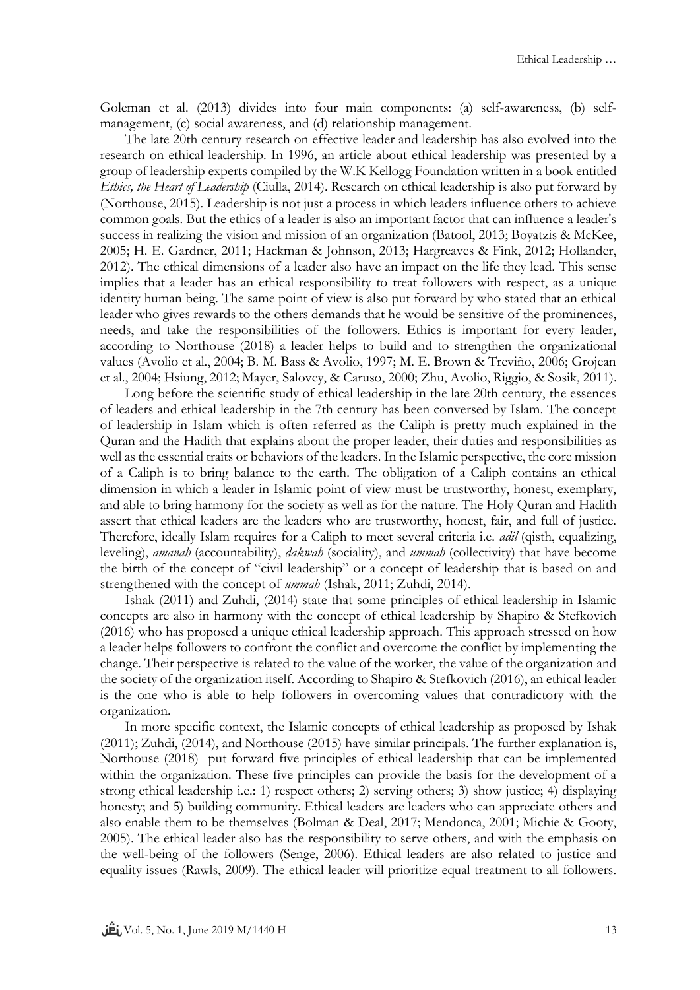Goleman et al. (2013) divides into four main components: (a) self-awareness, (b) selfmanagement, (c) social awareness, and (d) relationship management.

The late 20th century research on effective leader and leadership has also evolved into the research on ethical leadership. In 1996, an article about ethical leadership was presented by a group of leadership experts compiled by the W.K Kellogg Foundation written in a book entitled *Ethics, the Heart of Leadership* (Ciulla, 2014). Research on ethical leadership is also put forward by (Northouse, 2015). Leadership is not just a process in which leaders influence others to achieve common goals. But the ethics of a leader is also an important factor that can influence a leader's success in realizing the vision and mission of an organization (Batool, 2013; Boyatzis & McKee, 2005; H. E. Gardner, 2011; Hackman & Johnson, 2013; Hargreaves & Fink, 2012; Hollander, 2012). The ethical dimensions of a leader also have an impact on the life they lead. This sense implies that a leader has an ethical responsibility to treat followers with respect, as a unique identity human being. The same point of view is also put forward by who stated that an ethical leader who gives rewards to the others demands that he would be sensitive of the prominences, needs, and take the responsibilities of the followers. Ethics is important for every leader, according to Northouse (2018) a leader helps to build and to strengthen the organizational values (Avolio et al., 2004; B. M. Bass & Avolio, 1997; M. E. Brown & Treviño, 2006; Grojean et al., 2004; Hsiung, 2012; Mayer, Salovey, & Caruso, 2000; Zhu, Avolio, Riggio, & Sosik, 2011).

Long before the scientific study of ethical leadership in the late 20th century, the essences of leaders and ethical leadership in the 7th century has been conversed by Islam. The concept of leadership in Islam which is often referred as the Caliph is pretty much explained in the Quran and the Hadith that explains about the proper leader, their duties and responsibilities as well as the essential traits or behaviors of the leaders. In the Islamic perspective, the core mission of a Caliph is to bring balance to the earth. The obligation of a Caliph contains an ethical dimension in which a leader in Islamic point of view must be trustworthy, honest, exemplary, and able to bring harmony for the society as well as for the nature. The Holy Quran and Hadith assert that ethical leaders are the leaders who are trustworthy, honest, fair, and full of justice. Therefore, ideally Islam requires for a Caliph to meet several criteria i.e. *adil* (qisth, equalizing, leveling), *amanah* (accountability), *dakwah* (sociality), and *ummah* (collectivity) that have become the birth of the concept of "civil leadership" or a concept of leadership that is based on and strengthened with the concept of *ummah* (Ishak, 2011; Zuhdi, 2014).

Ishak (2011) and Zuhdi, (2014) state that some principles of ethical leadership in Islamic concepts are also in harmony with the concept of ethical leadership by Shapiro & Stefkovich (2016) who has proposed a unique ethical leadership approach. This approach stressed on how a leader helps followers to confront the conflict and overcome the conflict by implementing the change. Their perspective is related to the value of the worker, the value of the organization and the society of the organization itself. According to Shapiro & Stefkovich (2016), an ethical leader is the one who is able to help followers in overcoming values that contradictory with the organization.

In more specific context, the Islamic concepts of ethical leadership as proposed by Ishak (2011); Zuhdi, (2014), and Northouse (2015) have similar principals. The further explanation is, Northouse (2018) put forward five principles of ethical leadership that can be implemented within the organization. These five principles can provide the basis for the development of a strong ethical leadership i.e.: 1) respect others; 2) serving others; 3) show justice; 4) displaying honesty; and 5) building community. Ethical leaders are leaders who can appreciate others and also enable them to be themselves (Bolman & Deal, 2017; Mendonca, 2001; Michie & Gooty, 2005). The ethical leader also has the responsibility to serve others, and with the emphasis on the well-being of the followers (Senge, 2006). Ethical leaders are also related to justice and equality issues (Rawls, 2009). The ethical leader will prioritize equal treatment to all followers.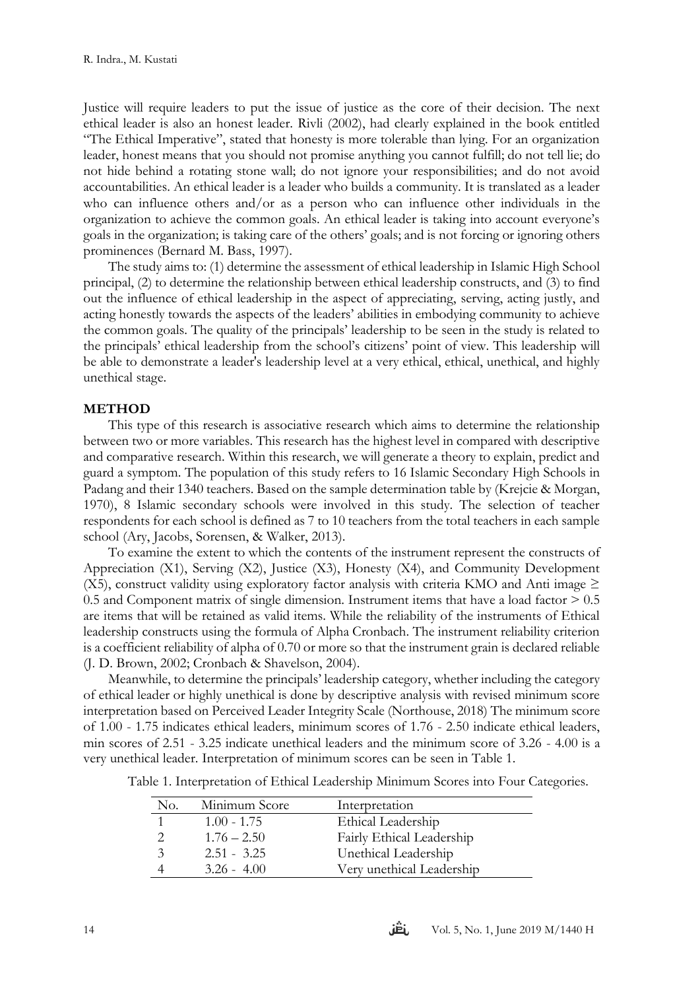Justice will require leaders to put the issue of justice as the core of their decision. The next ethical leader is also an honest leader. Rivli (2002), had clearly explained in the book entitled "The Ethical Imperative", stated that honesty is more tolerable than lying. For an organization leader, honest means that you should not promise anything you cannot fulfill; do not tell lie; do not hide behind a rotating stone wall; do not ignore your responsibilities; and do not avoid accountabilities. An ethical leader is a leader who builds a community. It is translated as a leader who can influence others and/or as a person who can influence other individuals in the organization to achieve the common goals. An ethical leader is taking into account everyone's goals in the organization; is taking care of the others' goals; and is not forcing or ignoring others prominences (Bernard M. Bass, 1997).

The study aims to: (1) determine the assessment of ethical leadership in Islamic High School principal, (2) to determine the relationship between ethical leadership constructs, and (3) to find out the influence of ethical leadership in the aspect of appreciating, serving, acting justly, and acting honestly towards the aspects of the leaders' abilities in embodying community to achieve the common goals. The quality of the principals' leadership to be seen in the study is related to the principals' ethical leadership from the school's citizens' point of view. This leadership will be able to demonstrate a leader's leadership level at a very ethical, ethical, unethical, and highly unethical stage.

#### **METHOD**

This type of this research is associative research which aims to determine the relationship between two or more variables. This research has the highest level in compared with descriptive and comparative research. Within this research, we will generate a theory to explain, predict and guard a symptom. The population of this study refers to 16 Islamic Secondary High Schools in Padang and their 1340 teachers. Based on the sample determination table by (Krejcie & Morgan, 1970), 8 Islamic secondary schools were involved in this study. The selection of teacher respondents for each school is defined as 7 to 10 teachers from the total teachers in each sample school (Ary, Jacobs, Sorensen, & Walker, 2013).

To examine the extent to which the contents of the instrument represent the constructs of Appreciation (X1), Serving (X2), Justice (X3), Honesty (X4), and Community Development (X5), construct validity using exploratory factor analysis with criteria KMO and Anti image  $\geq$ 0.5 and Component matrix of single dimension. Instrument items that have a load factor  $> 0.5$ are items that will be retained as valid items. While the reliability of the instruments of Ethical leadership constructs using the formula of Alpha Cronbach. The instrument reliability criterion is a coefficient reliability of alpha of 0.70 or more so that the instrument grain is declared reliable (J. D. Brown, 2002; Cronbach & Shavelson, 2004).

Meanwhile, to determine the principals' leadership category, whether including the category of ethical leader or highly unethical is done by descriptive analysis with revised minimum score interpretation based on Perceived Leader Integrity Scale (Northouse, 2018) The minimum score of 1.00 - 1.75 indicates ethical leaders, minimum scores of 1.76 - 2.50 indicate ethical leaders, min scores of 2.51 - 3.25 indicate unethical leaders and the minimum score of 3.26 - 4.00 is a very unethical leader. Interpretation of minimum scores can be seen in Table 1.

| No. | Minimum Score | Interpretation            |
|-----|---------------|---------------------------|
|     | $1.00 - 1.75$ | Ethical Leadership        |
|     | $1.76 - 2.50$ | Fairly Ethical Leadership |
| 3   | $2.51 - 3.25$ | Unethical Leadership      |
|     | $3.26 - 4.00$ | Very unethical Leadership |

Table 1. Interpretation of Ethical Leadership Minimum Scores into Four Categories.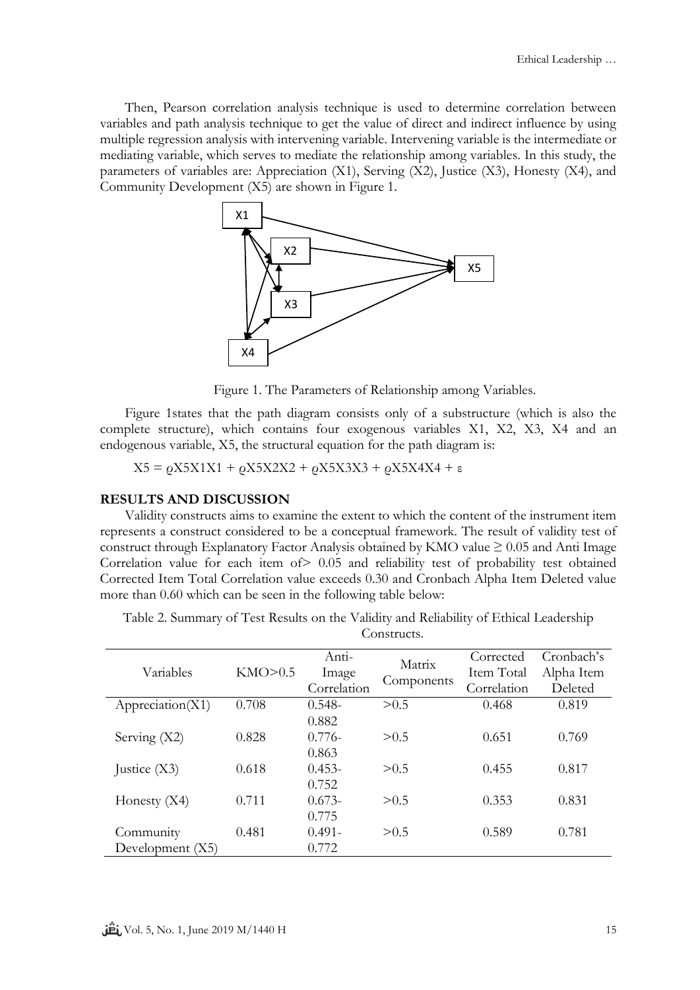Then, Pearson correlation analysis technique is used to determine correlation between variables and path analysis technique to get the value of direct and indirect influence by using multiple regression analysis with intervening variable. Intervening variable is the intermediate or mediating variable, which serves to mediate the relationship among variables. In this study, the parameters of variables are: Appreciation (X1), Serving (X2), Justice (X3), Honesty (X4), and Community Development (X5) are shown in Figure 1.



Figure 1. The Parameters of Relationship among Variables.

Figure 1states that the path diagram consists only of a substructure (which is also the complete structure), which contains four exogenous variables X1, X2, X3, X4 and an endogenous variable, X5, the structural equation for the path diagram is:

 $X5 = \rho X5X1X1 + \rho X5X2X2 + \rho X5X3X3 + \rho X5X4X4 + ε$ 

#### **RESULTS AND DISCUSSION**

Validity constructs aims to examine the extent to which the content of the instrument item represents a construct considered to be a conceptual framework. The result of validity test of construct through Explanatory Factor Analysis obtained by KMO value  $\geq 0.05$  and Anti Image Correlation value for each item of > 0.05 and reliability test of probability test obtained Corrected Item Total Correlation value exceeds 0.30 and Cronbach Alpha Item Deleted value more than 0.60 which can be seen in the following table below:

Table 2. Summary of Test Results on the Validity and Reliability of Ethical Leadership Constructs.

|                    |         | Anti-       | Matrix     | Corrected   | Cronbach's |
|--------------------|---------|-------------|------------|-------------|------------|
| Variables          | KMO>0.5 | Image       |            | Item Total  | Alpha Item |
|                    |         | Correlation | Components | Correlation | Deleted    |
| Appreciation(X1)   | 0.708   | $0.548 -$   | > 0.5      | 0.468       | 0.819      |
|                    |         | 0.882       |            |             |            |
| Serving $(X2)$     | 0.828   | $0.776-$    | > 0.5      | 0.651       | 0.769      |
|                    |         | 0.863       |            |             |            |
| Justice $(X3)$     | 0.618   | $0.453 -$   | > 0.5      | 0.455       | 0.817      |
|                    |         | 0.752       |            |             |            |
| Honesty $(X4)$     | 0.711   | $0.673-$    | > 0.5      | 0.353       | 0.831      |
|                    |         | 0.775       |            |             |            |
| Community          | 0.481   | $0.491 -$   | > 0.5      | 0.589       | 0.781      |
| Development $(X5)$ |         | 0.772       |            |             |            |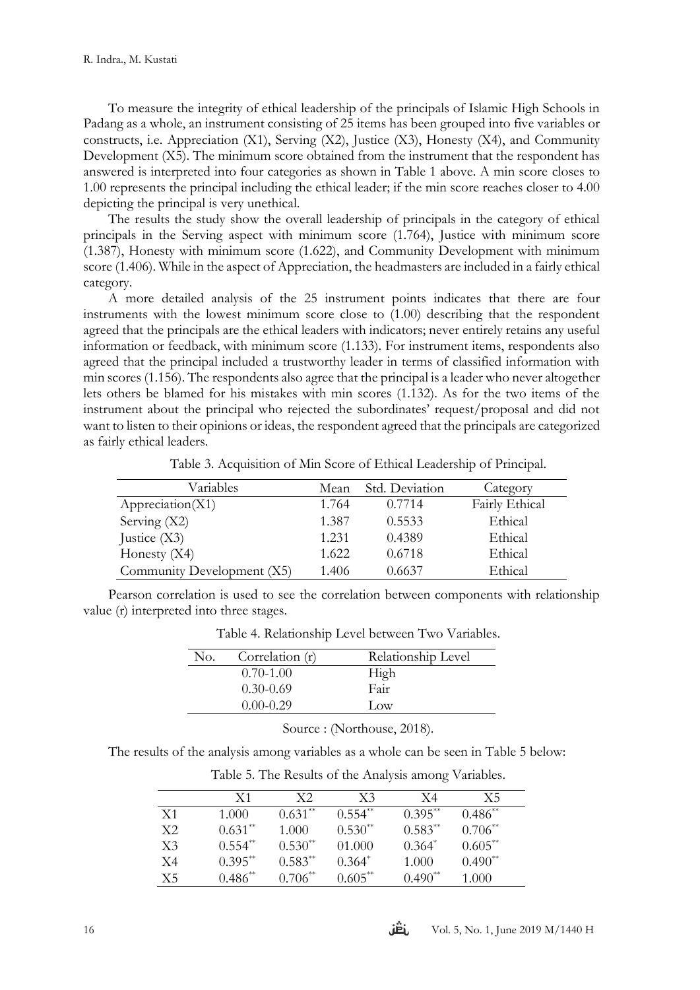To measure the integrity of ethical leadership of the principals of Islamic High Schools in Padang as a whole, an instrument consisting of 25 items has been grouped into five variables or constructs, i.e. Appreciation  $(X1)$ , Serving  $(X2)$ , Justice  $(X3)$ , Honesty  $(X4)$ , and Community Development (X5). The minimum score obtained from the instrument that the respondent has answered is interpreted into four categories as shown in Table 1 above. A min score closes to 1.00 represents the principal including the ethical leader; if the min score reaches closer to 4.00 depicting the principal is very unethical.

The results the study show the overall leadership of principals in the category of ethical principals in the Serving aspect with minimum score (1.764), Justice with minimum score (1.387), Honesty with minimum score (1.622), and Community Development with minimum score (1.406). While in the aspect of Appreciation, the headmasters are included in a fairly ethical category.

A more detailed analysis of the 25 instrument points indicates that there are four instruments with the lowest minimum score close to (1.00) describing that the respondent agreed that the principals are the ethical leaders with indicators; never entirely retains any useful information or feedback, with minimum score (1.133). For instrument items, respondents also agreed that the principal included a trustworthy leader in terms of classified information with min scores (1.156). The respondents also agree that the principal is a leader who never altogether lets others be blamed for his mistakes with min scores (1.132). As for the two items of the instrument about the principal who rejected the subordinates' request/proposal and did not want to listen to their opinions or ideas, the respondent agreed that the principals are categorized as fairly ethical leaders.

| Variables                  | Mean  | Std. Deviation | Category       |
|----------------------------|-------|----------------|----------------|
| Appreciation(X1)           | 1.764 | 0.7714         | Fairly Ethical |
| Serving (X2)               | 1.387 | 0.5533         | Ethical        |
| Justice $(X3)$             | 1.231 | 0.4389         | Ethical        |
| Honesty $(X4)$             | 1.622 | 0.6718         | Ethical        |
| Community Development (X5) | 1.406 | 0.6637         | Ethical        |

Table 3. Acquisition of Min Score of Ethical Leadership of Principal.

Pearson correlation is used to see the correlation between components with relationship value (r) interpreted into three stages.

| No. | Correlation (r) | Relationship Level |
|-----|-----------------|--------------------|
|     | $0.70 - 1.00$   | High               |
|     | $0.30 - 0.69$   | Fair               |
|     | $0.00 - 0.29$   | $_{\text{low}}$    |

Table 4. Relationship Level between Two Variables.

Source : (Northouse, 2018).

The results of the analysis among variables as a whole can be seen in Table 5 below:

|                | X <sub>1</sub> | X2        | X <sub>3</sub> | X4        | Х5        |  |
|----------------|----------------|-----------|----------------|-----------|-----------|--|
| X1             | 1.000          | $0.631**$ | $0.554**$      | $0.395**$ | $0.486**$ |  |
| X2             | $0.631**$      | 1.000     | $0.530**$      | $0.583**$ | $0.706**$ |  |
| X <sub>3</sub> | $0.554**$      | $0.530**$ | 01.000         | $0.364*$  | $0.605**$ |  |
| X4             | $0.395***$     | $0.583**$ | $0.364*$       | 1.000     | $0.490**$ |  |
| X5             | $0.486**$      | $0.706**$ | $0.605**$      | $0.490**$ | 1.000     |  |

Table 5. The Results of the Analysis among Variables.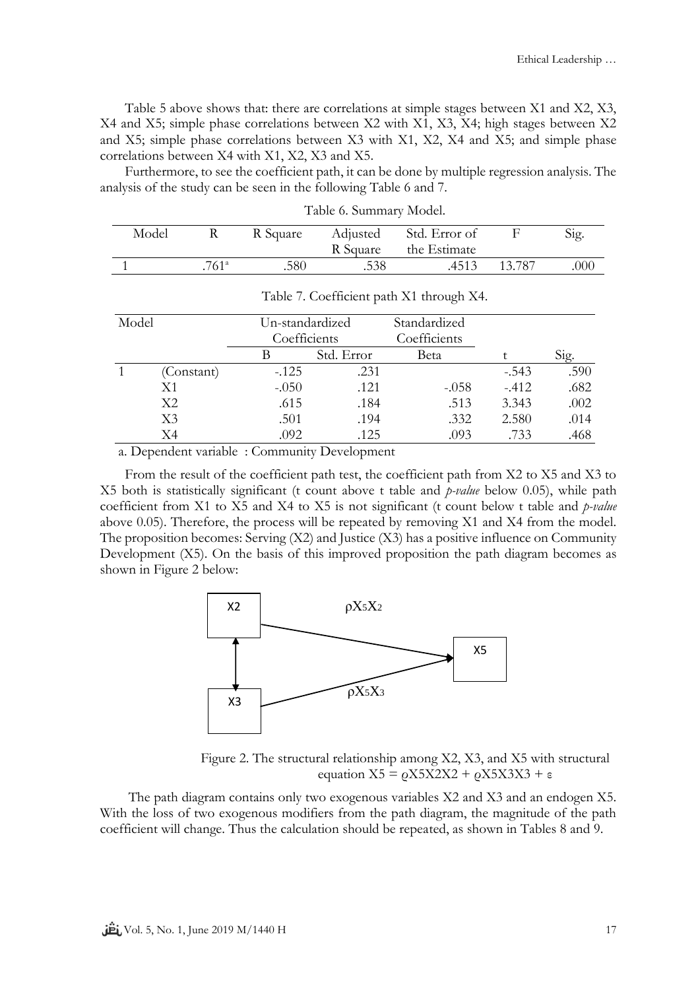Table 5 above shows that: there are correlations at simple stages between X1 and X2, X3, X4 and X5; simple phase correlations between X2 with X1, X3, X4; high stages between X2 and X5; simple phase correlations between X3 with X1, X2, X4 and X5; and simple phase correlations between X4 with X1, X2, X3 and X5.

Furthermore, to see the coefficient path, it can be done by multiple regression analysis. The analysis of the study can be seen in the following Table 6 and 7.

| Model |                   | R Square | Adjusted<br>R Square | Std. Error of<br>the Estimate |        | Sig. |
|-------|-------------------|----------|----------------------|-------------------------------|--------|------|
|       | .761 <sup>a</sup> | .580     | .538                 | .4513                         | 13.787 | .000 |

| Model |                | Un-standardized<br>Coefficients |            | Standardized<br>Coefficients |         |      |
|-------|----------------|---------------------------------|------------|------------------------------|---------|------|
|       |                |                                 | Std. Error | Beta                         |         | Sig. |
|       | (Constant)     | $-125$                          | .231       |                              | $-.543$ | .590 |
|       | X1             | $-.050$                         | .121       | $-.058$                      | $-.412$ | .682 |
|       | X2             | .615                            | .184       | .513                         | 3.343   | .002 |
|       | X <sub>3</sub> | .501                            | .194       | .332                         | 2.580   | .014 |
|       | X4             | .092                            | .125       | .093                         | .733    | .468 |

|  |  | Table 6. Summary Model. |  |  |
|--|--|-------------------------|--|--|
|--|--|-------------------------|--|--|

Table 7. Coefficient path X1 through X4.

a. Dependent variable : Community Development

From the result of the coefficient path test, the coefficient path from X2 to X5 and X3 to X5 both is statistically significant (t count above t table and *p-value* below 0.05), while path coefficient from X1 to X5 and X4 to X5 is not significant (t count below t table and *p-value* above 0.05). Therefore, the process will be repeated by removing X1 and X4 from the model. The proposition becomes: Serving (X2) and Justice (X3) has a positive influence on Community Development (X5). On the basis of this improved proposition the path diagram becomes as shown in Figure 2 below:



Figure 2. The structural relationship among X2, X3, and X5 with structural equation  $X5 = \rho X5X2X2 + \rho X5X3X3 + ε$ 

The path diagram contains only two exogenous variables X2 and X3 and an endogen X5. With the loss of two exogenous modifiers from the path diagram, the magnitude of the path coefficient will change. Thus the calculation should be repeated, as shown in Tables 8 and 9.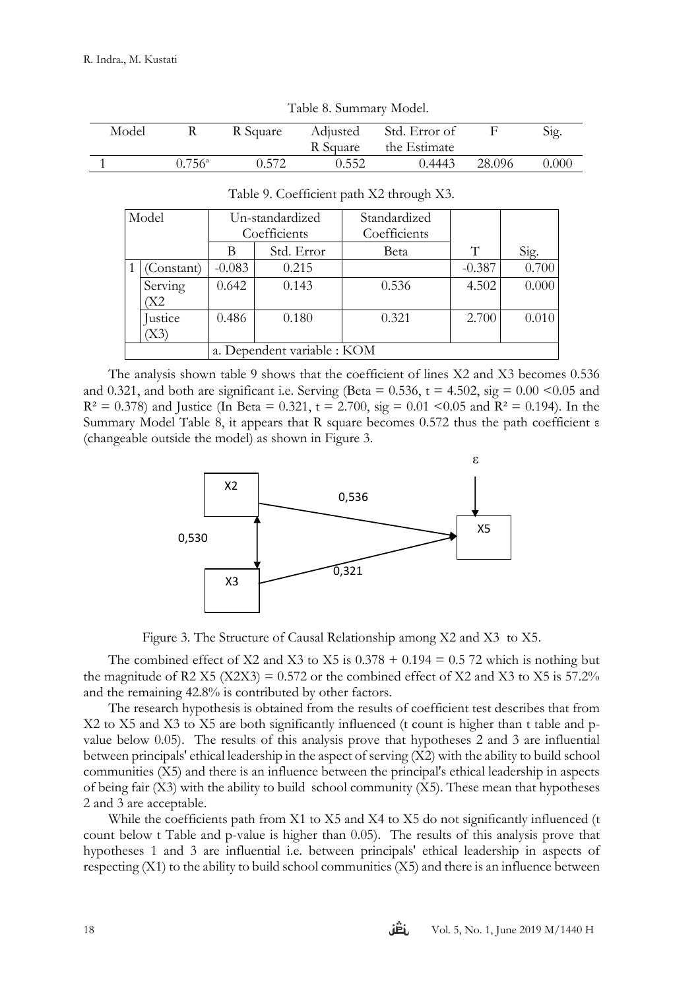| $10000$ $\sigma$ . $000000$ |                 |       |       |                                 |         |       |
|-----------------------------|-----------------|-------|-------|---------------------------------|---------|-------|
| Model                       | R               |       |       | R Square Adjusted Std. Error of |         | Sig.  |
|                             |                 |       |       | R Square the Estimate           |         |       |
|                             | $0.756^{\circ}$ | 0.572 | 0.552 | 0.4443                          | -28.096 | 0.000 |

|  | Table 8. Summary Model. |
|--|-------------------------|
|--|-------------------------|

| Model      | Un-standardized |                             | Standardized |          |       |
|------------|-----------------|-----------------------------|--------------|----------|-------|
|            | Coefficients    |                             | Coefficients |          |       |
|            | В               | Std. Error                  | Beta         | T        | Sig.  |
| (Constant) | $-0.083$        | 0.215                       |              | $-0.387$ | 0.700 |
| Serving    | 0.642           | 0.143                       | 0.536        | 4.502    | 0.000 |
| Χ2         |                 |                             |              |          |       |
| Justice    | 0.486           | 0.180                       | 0.321        | 2.700    | 0.010 |
| X3)        |                 |                             |              |          |       |
|            |                 | a. Dependent variable : KOM |              |          |       |

## Table 9. Coefficient path X2 through X3.

The analysis shown table 9 shows that the coefficient of lines X2 and X3 becomes 0.536 and 0.321, and both are significant i.e. Serving (Beta =  $0.536$ , t =  $4.502$ , sig =  $0.00 \le 0.05$  and  $R^2 = 0.378$ ) and Justice (In Beta = 0.321, t = 2.700, sig = 0.01 < 0.05 and  $R^2 = 0.194$ ). In the Summary Model Table 8, it appears that R square becomes 0.572 thus the path coefficient ε (changeable outside the model) as shown in Figure 3.



Figure 3. The Structure of Causal Relationship among X2 and X3 to X5.

The combined effect of X2 and X3 to X5 is  $0.378 + 0.194 = 0.5$  72 which is nothing but the magnitude of R2 X5 (X2X3) =  $0.572$  or the combined effect of X2 and X3 to X5 is  $57.2\%$ and the remaining 42.8% is contributed by other factors.

The research hypothesis is obtained from the results of coefficient test describes that from X2 to X5 and X3 to X5 are both significantly influenced (t count is higher than t table and pvalue below 0.05). The results of this analysis prove that hypotheses 2 and 3 are influential between principals' ethical leadership in the aspect of serving (X2) with the ability to build school communities (X5) and there is an influence between the principal's ethical leadership in aspects of being fair (X3) with the ability to build school community (X5). These mean that hypotheses 2 and 3 are acceptable.

While the coefficients path from X1 to X5 and X4 to X5 do not significantly influenced (t count below t Table and p-value is higher than 0.05). The results of this analysis prove that hypotheses 1 and 3 are influential i.e. between principals' ethical leadership in aspects of respecting (X1) to the ability to build school communities (X5) and there is an influence between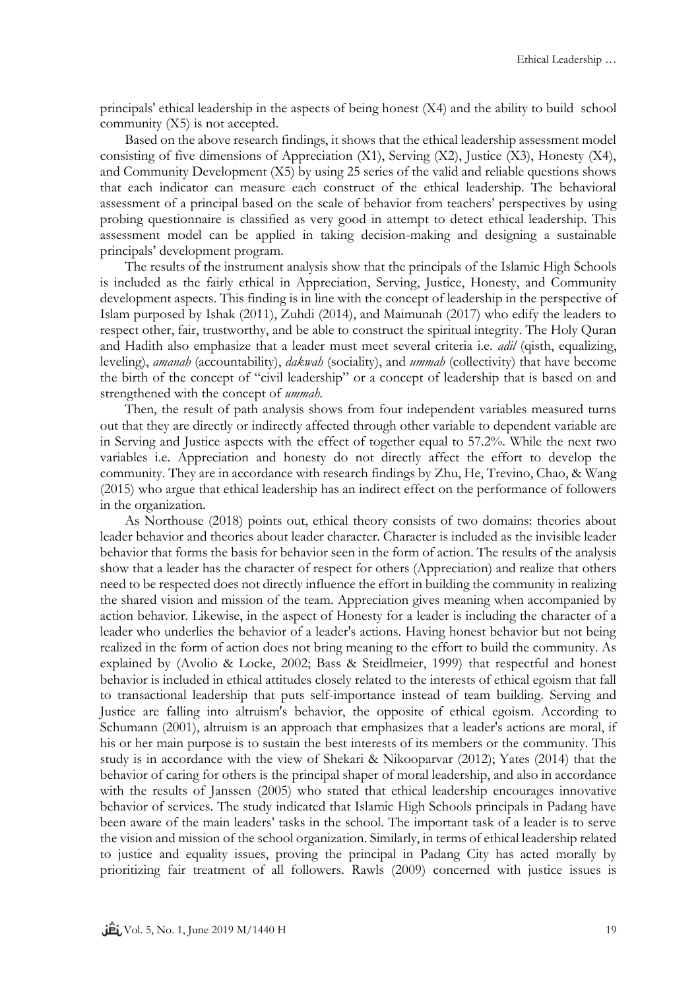principals' ethical leadership in the aspects of being honest (X4) and the ability to build school community (X5) is not accepted.

Based on the above research findings, it shows that the ethical leadership assessment model consisting of five dimensions of Appreciation (X1), Serving (X2), Justice (X3), Honesty (X4), and Community Development (X5) by using 25 series of the valid and reliable questions shows that each indicator can measure each construct of the ethical leadership. The behavioral assessment of a principal based on the scale of behavior from teachers' perspectives by using probing questionnaire is classified as very good in attempt to detect ethical leadership. This assessment model can be applied in taking decision-making and designing a sustainable principals' development program.

The results of the instrument analysis show that the principals of the Islamic High Schools is included as the fairly ethical in Appreciation, Serving, Justice, Honesty, and Community development aspects. This finding is in line with the concept of leadership in the perspective of Islam purposed by Ishak (2011), Zuhdi (2014), and Maimunah (2017) who edify the leaders to respect other, fair, trustworthy, and be able to construct the spiritual integrity. The Holy Quran and Hadith also emphasize that a leader must meet several criteria i.e. *adil* (qisth, equalizing, leveling), *amanah* (accountability), *dakwah* (sociality), and *ummah* (collectivity) that have become the birth of the concept of "civil leadership" or a concept of leadership that is based on and strengthened with the concept of *ummah.*

Then, the result of path analysis shows from four independent variables measured turns out that they are directly or indirectly affected through other variable to dependent variable are in Serving and Justice aspects with the effect of together equal to 57.2%. While the next two variables i.e. Appreciation and honesty do not directly affect the effort to develop the community. They are in accordance with research findings by Zhu, He, Trevino, Chao, & Wang (2015) who argue that ethical leadership has an indirect effect on the performance of followers in the organization.

As Northouse (2018) points out, ethical theory consists of two domains: theories about leader behavior and theories about leader character. Character is included as the invisible leader behavior that forms the basis for behavior seen in the form of action. The results of the analysis show that a leader has the character of respect for others (Appreciation) and realize that others need to be respected does not directly influence the effort in building the community in realizing the shared vision and mission of the team. Appreciation gives meaning when accompanied by action behavior. Likewise, in the aspect of Honesty for a leader is including the character of a leader who underlies the behavior of a leader's actions. Having honest behavior but not being realized in the form of action does not bring meaning to the effort to build the community. As explained by (Avolio & Locke, 2002; Bass & Steidlmeier, 1999) that respectful and honest behavior is included in ethical attitudes closely related to the interests of ethical egoism that fall to transactional leadership that puts self-importance instead of team building. Serving and Justice are falling into altruism's behavior, the opposite of ethical egoism. According to Schumann (2001), altruism is an approach that emphasizes that a leader's actions are moral, if his or her main purpose is to sustain the best interests of its members or the community. This study is in accordance with the view of Shekari & Nikooparvar (2012); Yates (2014) that the behavior of caring for others is the principal shaper of moral leadership, and also in accordance with the results of Janssen (2005) who stated that ethical leadership encourages innovative behavior of services. The study indicated that Islamic High Schools principals in Padang have been aware of the main leaders' tasks in the school. The important task of a leader is to serve the vision and mission of the school organization. Similarly, in terms of ethical leadership related to justice and equality issues, proving the principal in Padang City has acted morally by prioritizing fair treatment of all followers. Rawls (2009) concerned with justice issues is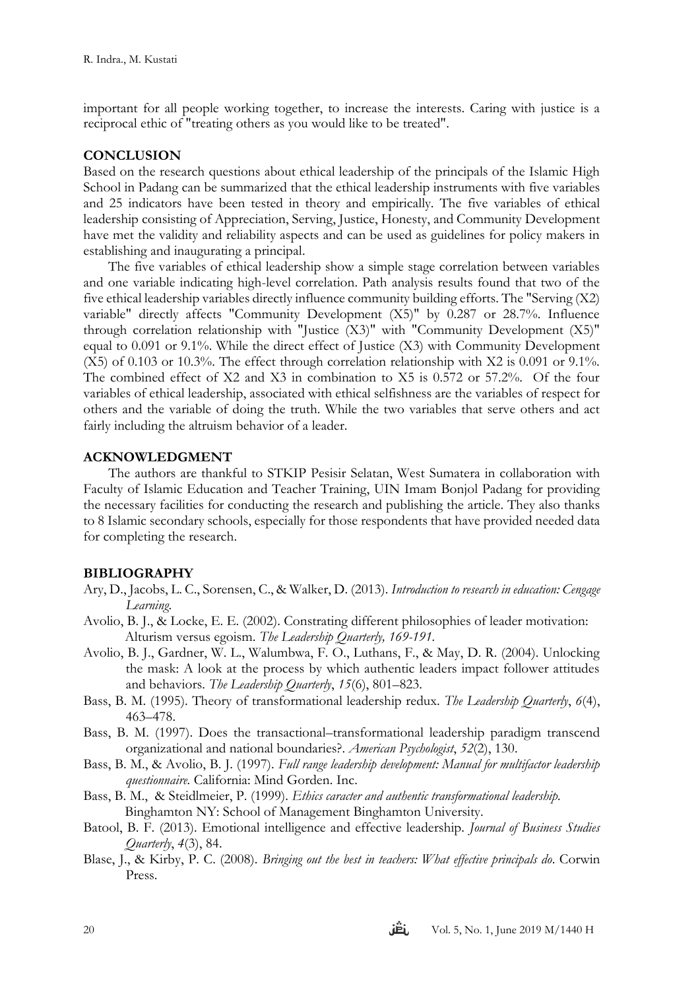important for all people working together, to increase the interests. Caring with justice is a reciprocal ethic of "treating others as you would like to be treated".

## **CONCLUSION**

Based on the research questions about ethical leadership of the principals of the Islamic High School in Padang can be summarized that the ethical leadership instruments with five variables and 25 indicators have been tested in theory and empirically. The five variables of ethical leadership consisting of Appreciation, Serving, Justice, Honesty, and Community Development have met the validity and reliability aspects and can be used as guidelines for policy makers in establishing and inaugurating a principal.

The five variables of ethical leadership show a simple stage correlation between variables and one variable indicating high-level correlation. Path analysis results found that two of the five ethical leadership variables directly influence community building efforts. The "Serving (X2) variable" directly affects "Community Development (X5)" by 0.287 or 28.7%. Influence through correlation relationship with "Justice (X3)" with "Community Development (X5)" equal to 0.091 or 9.1%. While the direct effect of Justice (X3) with Community Development (X5) of 0.103 or 10.3%. The effect through correlation relationship with X2 is 0.091 or 9.1%. The combined effect of X2 and X3 in combination to X5 is 0.572 or 57.2%. Of the four variables of ethical leadership, associated with ethical selfishness are the variables of respect for others and the variable of doing the truth. While the two variables that serve others and act fairly including the altruism behavior of a leader.

## **ACKNOWLEDGMENT**

The authors are thankful to STKIP Pesisir Selatan, West Sumatera in collaboration with Faculty of Islamic Education and Teacher Training, UIN Imam Bonjol Padang for providing the necessary facilities for conducting the research and publishing the article. They also thanks to 8 Islamic secondary schools, especially for those respondents that have provided needed data for completing the research.

## **BIBLIOGRAPHY**

- Ary, D., Jacobs, L. C., Sorensen, C., & Walker, D. (2013). *Introduction to research in education: Cengage Learning*.
- Avolio, B. J., & Locke, E. E. (2002). Constrating different philosophies of leader motivation: Alturism versus egoism. *The Leadership Quarterly, 169-191.*
- Avolio, B. J., Gardner, W. L., Walumbwa, F. O., Luthans, F., & May, D. R. (2004). Unlocking the mask: A look at the process by which authentic leaders impact follower attitudes and behaviors. *The Leadership Quarterly*, *15*(6), 801–823.
- Bass, B. M. (1995). Theory of transformational leadership redux. *The Leadership Quarterly*, *6*(4), 463–478.
- Bass, B. M. (1997). Does the transactional–transformational leadership paradigm transcend organizational and national boundaries?. *American Psychologist*, *52*(2), 130.
- Bass, B. M., & Avolio, B. J. (1997). *Full range leadership development: Manual for multifactor leadership questionnaire.* California: Mind Gorden. Inc.
- Bass, B. M., & Steidlmeier, P. (1999). *Ethics caracter and authentic transformational leadership.*  Binghamton NY: School of Management Binghamton University.
- Batool, B. F. (2013). Emotional intelligence and effective leadership. *Journal of Business Studies Quarterly*, *4*(3), 84.
- Blase, J., & Kirby, P. C. (2008). *Bringing out the best in teachers: What effective principals do*. Corwin Press.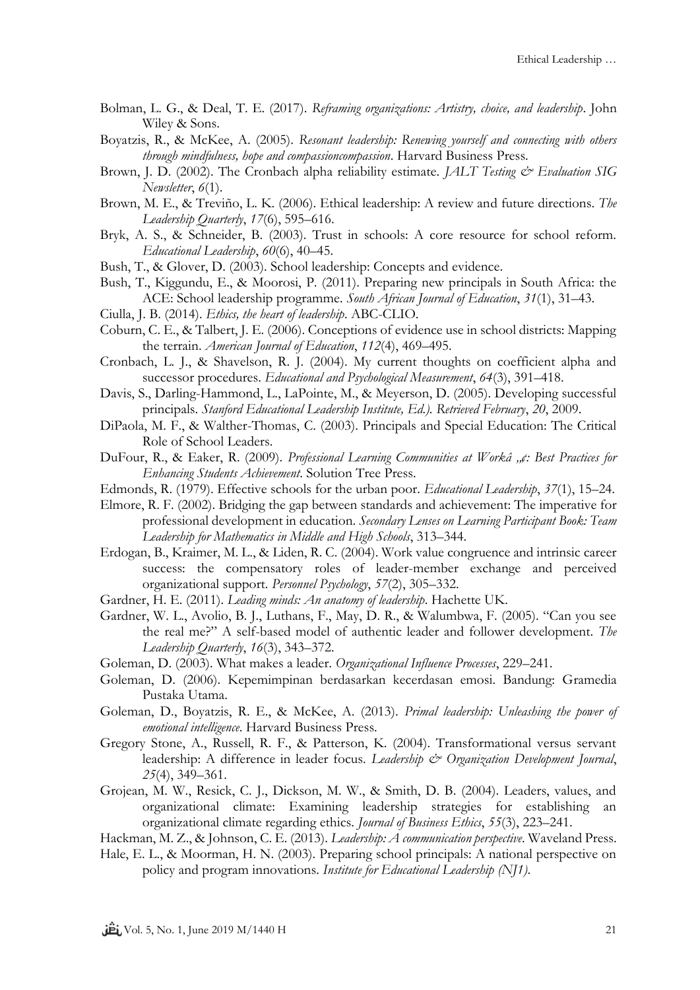- Bolman, L. G., & Deal, T. E. (2017). *Reframing organizations: Artistry, choice, and leadership*. John Wiley & Sons.
- Boyatzis, R., & McKee, A. (2005). *Resonant leadership: Renewing yourself and connecting with others through mindfulness, hope and compassioncompassion*. Harvard Business Press.
- Brown, J. D. (2002). The Cronbach alpha reliability estimate. *JALT Testing & Evaluation SIG Newsletter*, *6*(1).
- Brown, M. E., & Treviño, L. K. (2006). Ethical leadership: A review and future directions. *The Leadership Quarterly*, *17*(6), 595–616.
- Bryk, A. S., & Schneider, B. (2003). Trust in schools: A core resource for school reform. *Educational Leadership*, *60*(6), 40–45.
- Bush, T., & Glover, D. (2003). School leadership: Concepts and evidence.
- Bush, T., Kiggundu, E., & Moorosi, P. (2011). Preparing new principals in South Africa: the ACE: School leadership programme. *South African Journal of Education*, *31*(1), 31–43.
- Ciulla, J. B. (2014). *Ethics, the heart of leadership*. ABC-CLIO.
- Coburn, C. E., & Talbert, J. E. (2006). Conceptions of evidence use in school districts: Mapping the terrain. *American Journal of Education*, *112*(4), 469–495.
- Cronbach, L. J., & Shavelson, R. J. (2004). My current thoughts on coefficient alpha and successor procedures. *Educational and Psychological Measurement*, *64*(3), 391–418.
- Davis, S., Darling-Hammond, L., LaPointe, M., & Meyerson, D. (2005). Developing successful principals. *Stanford Educational Leadership Institute, Ed.). Retrieved February*, *20*, 2009.
- DiPaola, M. F., & Walther-Thomas, C. (2003). Principals and Special Education: The Critical Role of School Leaders.
- DuFour, R., & Eaker, R. (2009). *Professional Learning Communities at Workâ "¢: Best Practices for Enhancing Students Achievement*. Solution Tree Press.
- Edmonds, R. (1979). Effective schools for the urban poor. *Educational Leadership*, *37*(1), 15–24.
- Elmore, R. F. (2002). Bridging the gap between standards and achievement: The imperative for professional development in education. *Secondary Lenses on Learning Participant Book: Team Leadership for Mathematics in Middle and High Schools*, 313–344.
- Erdogan, B., Kraimer, M. L., & Liden, R. C. (2004). Work value congruence and intrinsic career success: the compensatory roles of leader-member exchange and perceived organizational support. *Personnel Psychology*, *57*(2), 305–332.
- Gardner, H. E. (2011). *Leading minds: An anatomy of leadership*. Hachette UK.
- Gardner, W. L., Avolio, B. J., Luthans, F., May, D. R., & Walumbwa, F. (2005). "Can you see the real me?" A self-based model of authentic leader and follower development. *The Leadership Quarterly*, *16*(3), 343–372.
- Goleman, D. (2003). What makes a leader. *Organizational Influence Processes*, 229–241.
- Goleman, D. (2006). Kepemimpinan berdasarkan kecerdasan emosi. Bandung: Gramedia Pustaka Utama.
- Goleman, D., Boyatzis, R. E., & McKee, A. (2013). *Primal leadership: Unleashing the power of emotional intelligence*. Harvard Business Press.
- Gregory Stone, A., Russell, R. F., & Patterson, K. (2004). Transformational versus servant leadership: A difference in leader focus. *Leadership & Organization Development Journal*, *25*(4), 349–361.
- Grojean, M. W., Resick, C. J., Dickson, M. W., & Smith, D. B. (2004). Leaders, values, and organizational climate: Examining leadership strategies for establishing an organizational climate regarding ethics. *Journal of Business Ethics*, *55*(3), 223–241.
- Hackman, M. Z., & Johnson, C. E. (2013). *Leadership: A communication perspective*. Waveland Press.
- Hale, E. L., & Moorman, H. N. (2003). Preparing school principals: A national perspective on policy and program innovations. *Institute for Educational Leadership (NJ1)*.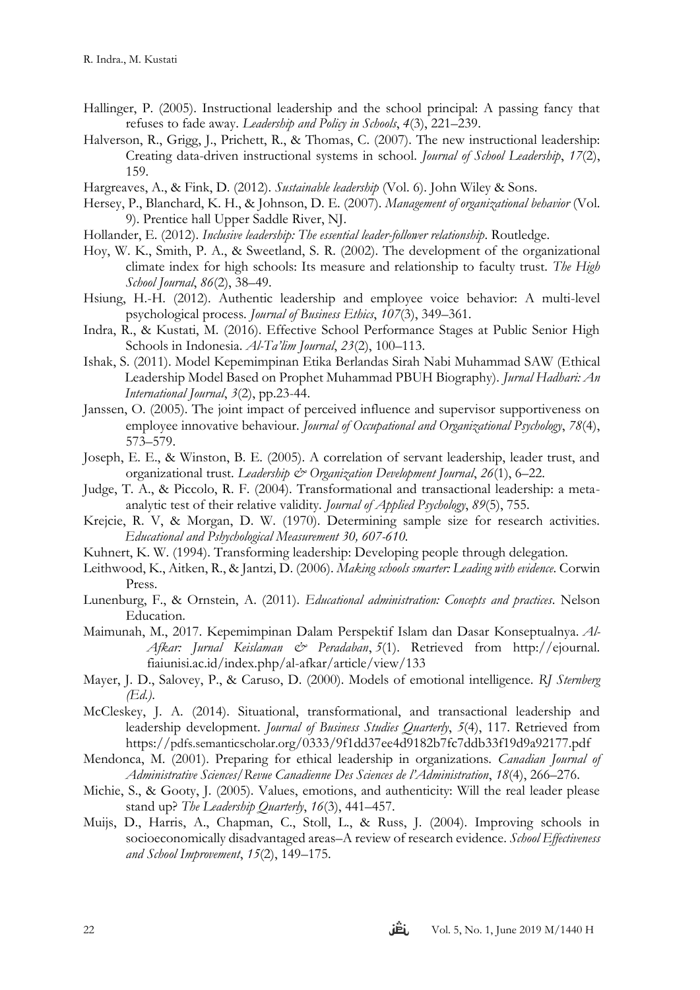- Hallinger, P. (2005). Instructional leadership and the school principal: A passing fancy that refuses to fade away. *Leadership and Policy in Schools*, *4*(3), 221–239.
- Halverson, R., Grigg, J., Prichett, R., & Thomas, C. (2007). The new instructional leadership: Creating data-driven instructional systems in school. *Journal of School Leadership*, *17*(2), 159.
- Hargreaves, A., & Fink, D. (2012). *Sustainable leadership* (Vol. 6). John Wiley & Sons.
- Hersey, P., Blanchard, K. H., & Johnson, D. E. (2007). *Management of organizational behavior* (Vol. 9). Prentice hall Upper Saddle River, NJ.
- Hollander, E. (2012). *Inclusive leadership: The essential leader-follower relationship*. Routledge.
- Hoy, W. K., Smith, P. A., & Sweetland, S. R. (2002). The development of the organizational climate index for high schools: Its measure and relationship to faculty trust. *The High School Journal*, *86*(2), 38–49.
- Hsiung, H.-H. (2012). Authentic leadership and employee voice behavior: A multi-level psychological process. *Journal of Business Ethics*, *107*(3), 349–361.
- Indra, R., & Kustati, M. (2016). Effective School Performance Stages at Public Senior High Schools in Indonesia. *Al-Ta'lim Journal*, *23*(2), 100–113.
- Ishak, S. (2011). Model Kepemimpinan Etika Berlandas Sirah Nabi Muhammad SAW (Ethical Leadership Model Based on Prophet Muhammad PBUH Biography). *Jurnal Hadhari: An International Journal*, *3*(2), pp.23-44.
- Janssen, O. (2005). The joint impact of perceived influence and supervisor supportiveness on employee innovative behaviour. *Journal of Occupational and Organizational Psychology*, *78*(4), 573–579.
- Joseph, E. E., & Winston, B. E. (2005). A correlation of servant leadership, leader trust, and organizational trust. *Leadership & Organization Development Journal*, *26*(1), 6–22.
- Judge, T. A., & Piccolo, R. F. (2004). Transformational and transactional leadership: a metaanalytic test of their relative validity. *Journal of Applied Psychology*, *89*(5), 755.
- Krejcie, R. V, & Morgan, D. W. (1970). Determining sample size for research activities. *Educational and Pshychological Measurement 30, 607-610.*
- Kuhnert, K. W. (1994). Transforming leadership: Developing people through delegation.
- Leithwood, K., Aitken, R., & Jantzi, D. (2006). *Making schools smarter: Leading with evidence*. Corwin Press.
- Lunenburg, F., & Ornstein, A. (2011). *Educational administration: Concepts and practices*. Nelson Education.
- Maimunah, M., 2017. Kepemimpinan Dalam Perspektif Islam dan Dasar Konseptualnya. *Al-Afkar: Jurnal Keislaman & Peradaban*, *5*(1). Retrieved from http://ejournal. fiaiunisi.ac.id/index.php/al-afkar/article/view/133
- Mayer, J. D., Salovey, P., & Caruso, D. (2000). Models of emotional intelligence. *RJ Sternberg (Ed.)*.
- McCleskey, J. A. (2014). Situational, transformational, and transactional leadership and leadership development. *Journal of Business Studies Quarterly*, *5*(4), 117. Retrieved from https://pdfs.semanticscholar.org/0333/9f1dd37ee4d9182b7fc7ddb33f19d9a92177.pdf
- Mendonca, M. (2001). Preparing for ethical leadership in organizations. *Canadian Journal of Administrative Sciences/Revue Canadienne Des Sciences de l'Administration*, *18*(4), 266–276.
- Michie, S., & Gooty, J. (2005). Values, emotions, and authenticity: Will the real leader please stand up? *The Leadership Quarterly*, *16*(3), 441–457.
- Muijs, D., Harris, A., Chapman, C., Stoll, L., & Russ, J. (2004). Improving schools in socioeconomically disadvantaged areas–A review of research evidence. *School Effectiveness and School Improvement*, *15*(2), 149–175.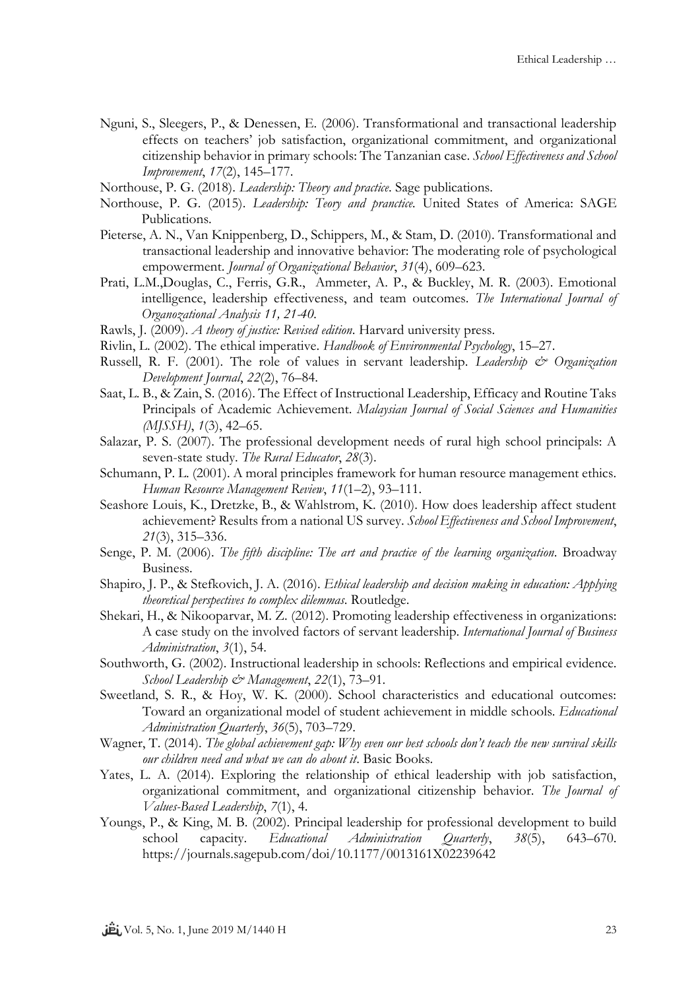- Nguni, S., Sleegers, P., & Denessen, E. (2006). Transformational and transactional leadership effects on teachers' job satisfaction, organizational commitment, and organizational citizenship behavior in primary schools: The Tanzanian case. *School Effectiveness and School Improvement*, *17*(2), 145–177.
- Northouse, P. G. (2018). *Leadership: Theory and practice*. Sage publications.
- Northouse, P. G. (2015). *Leadership: Teory and pranctice.* United States of America: SAGE Publications.
- Pieterse, A. N., Van Knippenberg, D., Schippers, M., & Stam, D. (2010). Transformational and transactional leadership and innovative behavior: The moderating role of psychological empowerment. *Journal of Organizational Behavior*, *31*(4), 609–623.
- Prati, L.M.,Douglas, C., Ferris, G.R., Ammeter, A. P., & Buckley, M. R. (2003). Emotional intelligence, leadership effectiveness, and team outcomes. *The International Journal of Organozational Analysis 11, 21-40.*
- Rawls, J. (2009). *A theory of justice: Revised edition*. Harvard university press.
- Rivlin, L. (2002). The ethical imperative. *Handbook of Environmental Psychology*, 15–27.
- Russell, R. F. (2001). The role of values in servant leadership. *Leadership & Organization Development Journal*, *22*(2), 76–84.
- Saat, L. B., & Zain, S. (2016). The Effect of Instructional Leadership, Efficacy and Routine Taks Principals of Academic Achievement. *Malaysian Journal of Social Sciences and Humanities (MJSSH)*, *1*(3), 42–65.
- Salazar, P. S. (2007). The professional development needs of rural high school principals: A seven-state study. *The Rural Educator*, *28*(3).
- Schumann, P. L. (2001). A moral principles framework for human resource management ethics. *Human Resource Management Review*, *11*(1–2), 93–111.
- Seashore Louis, K., Dretzke, B., & Wahlstrom, K. (2010). How does leadership affect student achievement? Results from a national US survey. *School Effectiveness and School Improvement*, *21*(3), 315–336.
- Senge, P. M. (2006). *The fifth discipline: The art and practice of the learning organization*. Broadway Business.
- Shapiro, J. P., & Stefkovich, J. A. (2016). *Ethical leadership and decision making in education: Applying theoretical perspectives to complex dilemmas*. Routledge.
- Shekari, H., & Nikooparvar, M. Z. (2012). Promoting leadership effectiveness in organizations: A case study on the involved factors of servant leadership. *International Journal of Business Administration*, *3*(1), 54.
- Southworth, G. (2002). Instructional leadership in schools: Reflections and empirical evidence. *School Leadership & Management*, *22*(1), 73–91.
- Sweetland, S. R., & Hoy, W. K. (2000). School characteristics and educational outcomes: Toward an organizational model of student achievement in middle schools. *Educational Administration Quarterly*, *36*(5), 703–729.
- Wagner, T. (2014). *The global achievement gap: Why even our best schools don't teach the new survival skills our children need and what we can do about it*. Basic Books.
- Yates, L. A. (2014). Exploring the relationship of ethical leadership with job satisfaction, organizational commitment, and organizational citizenship behavior. *The Journal of Values-Based Leadership*, *7*(1), 4.
- Youngs, P., & King, M. B. (2002). Principal leadership for professional development to build school capacity. *Educational Administration Quarterly*, *38*(5), 643–670. https://journals.sagepub.com/doi/10.1177/0013161X02239642